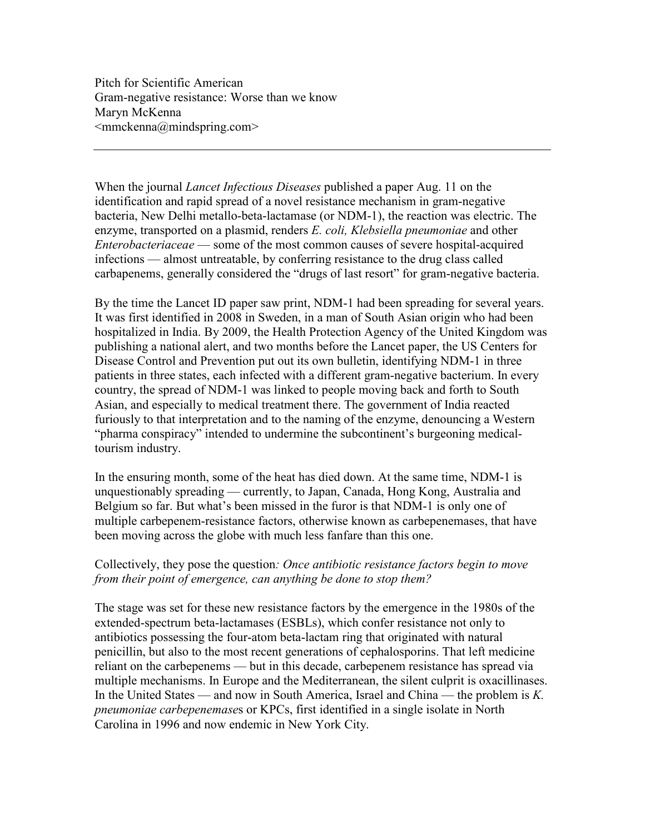Pitch for Scientific American Gram-negative resistance: Worse than we know Maryn McKenna  $\leq$ mmckenna $@$ mindspring.com $>$ 

When the journal *Lancet Infectious Diseases* published a paper Aug. 11 on the identification and rapid spread of a novel resistance mechanism in gram-negative bacteria, New Delhi metallo-beta-lactamase (or NDM-1), the reaction was electric. The enzyme, transported on a plasmid, renders E. coli, Klebsiella pneumoniae and other Enterobacteriaceae — some of the most common causes of severe hospital-acquired infections — almost untreatable, by conferring resistance to the drug class called carbapenems, generally considered the "drugs of last resort" for gram-negative bacteria.

By the time the Lancet ID paper saw print, NDM-1 had been spreading for several years. It was first identified in 2008 in Sweden, in a man of South Asian origin who had been hospitalized in India. By 2009, the Health Protection Agency of the United Kingdom was publishing a national alert, and two months before the Lancet paper, the US Centers for Disease Control and Prevention put out its own bulletin, identifying NDM-1 in three patients in three states, each infected with a different gram-negative bacterium. In every country, the spread of NDM-1 was linked to people moving back and forth to South Asian, and especially to medical treatment there. The government of India reacted furiously to that interpretation and to the naming of the enzyme, denouncing a Western "pharma conspiracy" intended to undermine the subcontinent's burgeoning medicaltourism industry.

In the ensuring month, some of the heat has died down. At the same time, NDM-1 is unquestionably spreading — currently, to Japan, Canada, Hong Kong, Australia and Belgium so far. But what's been missed in the furor is that NDM-1 is only one of multiple carbepenem-resistance factors, otherwise known as carbepenemases, that have been moving across the globe with much less fanfare than this one.

## Collectively, they pose the question: *Once antibiotic resistance factors begin to move* from their point of emergence, can anything be done to stop them?

The stage was set for these new resistance factors by the emergence in the 1980s of the extended-spectrum beta-lactamases (ESBLs), which confer resistance not only to antibiotics possessing the four-atom beta-lactam ring that originated with natural penicillin, but also to the most recent generations of cephalosporins. That left medicine reliant on the carbepenems — but in this decade, carbepenem resistance has spread via multiple mechanisms. In Europe and the Mediterranean, the silent culprit is oxacillinases. In the United States — and now in South America, Israel and China — the problem is K. pneumoniae carbepenemases or KPCs, first identified in a single isolate in North Carolina in 1996 and now endemic in New York City.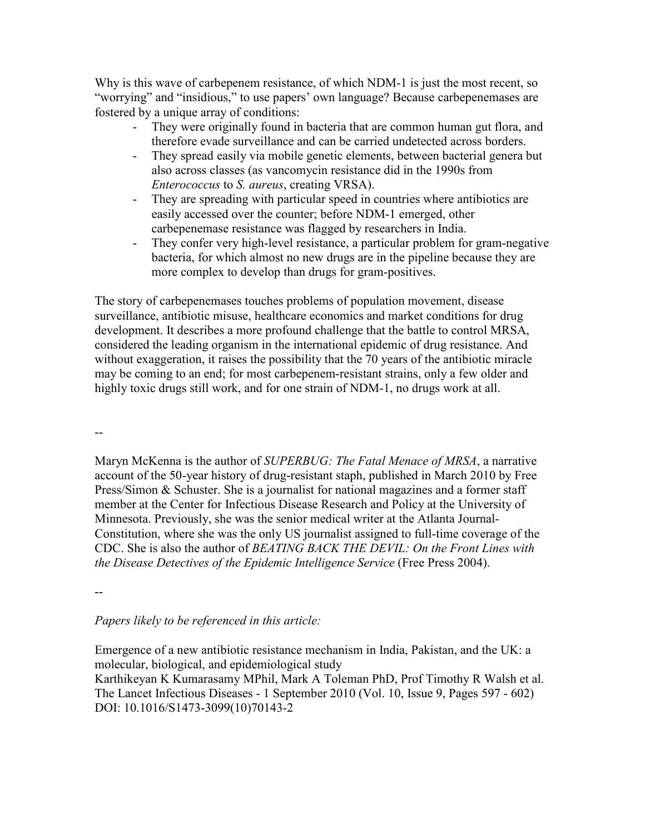Why is this wave of carbepenem resistance, of which NDM-1 is just the most recent, so "worrying" and "insidious," to use papers' own language? Because carbepenemases are fostered by a unique array of conditions:

- They were originally found in bacteria that are common human gut flora, and therefore evade surveillance and can be carried undetected across borders.
- They spread easily via mobile genetic elements, between bacterial genera but also across classes (as vancomycin resistance did in the 1990s from Enterococcus to S. aureus, creating VRSA).
- They are spreading with particular speed in countries where antibiotics are easily accessed over the counter; before NDM-1 emerged, other carbepenemase resistance was flagged by researchers in India.
- They confer very high-level resistance, a particular problem for gram-negative bacteria, for which almost no new drugs are in the pipeline because they are more complex to develop than drugs for gram-positives.

The story of carbepenemases touches problems of population movement, disease surveillance, antibiotic misuse, healthcare economics and market conditions for drug development. It describes a more profound challenge that the battle to control MRSA, considered the leading organism in the international epidemic of drug resistance. And without exaggeration, it raises the possibility that the 70 years of the antibiotic miracle may be coming to an end; for most carbepenem-resistant strains, only a few older and highly toxic drugs still work, and for one strain of NDM-1, no drugs work at all.

--

Maryn McKenna is the author of *SUPERBUG: The Fatal Menace of MRSA*, a narrative account of the 50-year history of drug-resistant staph, published in March 2010 by Free Press/Simon & Schuster. She is a journalist for national magazines and a former staff member at the Center for Infectious Disease Research and Policy at the University of Minnesota. Previously, she was the senior medical writer at the Atlanta Journal-Constitution, where she was the only US journalist assigned to full-time coverage of the CDC. She is also the author of BEATING BACK THE DEVIL: On the Front Lines with the Disease Detectives of the Epidemic Intelligence Service (Free Press 2004).

--

## Papers likely to be referenced in this article:

Emergence of a new antibiotic resistance mechanism in India, Pakistan, and the UK: a molecular, biological, and epidemiological study Karthikeyan K Kumarasamy MPhil, Mark A Toleman PhD, Prof Timothy R Walsh et al. The Lancet Infectious Diseases - 1 September 2010 (Vol. 10, Issue 9, Pages 597 - 602) DOI: 10.1016/S1473-3099(10)70143-2